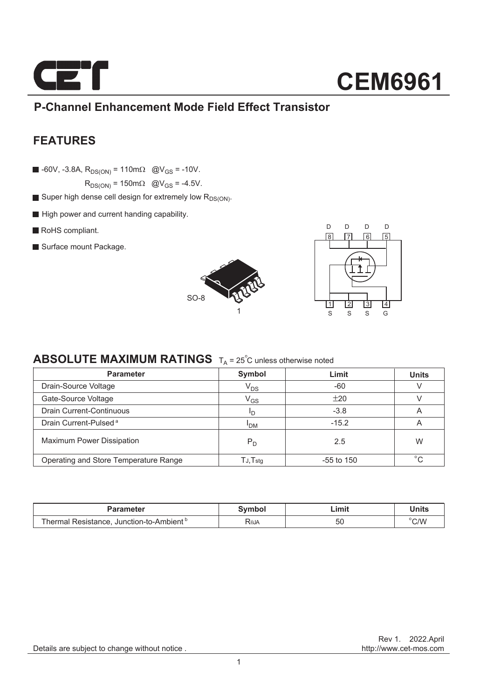

### **P-Channel Enhancement Mode Field Effect Transistor**

### **FEATURES**

 $\blacksquare$  -60V, -3.8A,  $R_{DS(ON)} = 110 \text{ m}\Omega$  @V<sub>GS</sub> = -10V.

 $R_{DS(ON)} = 150 \text{m}\Omega$  @V<sub>GS</sub> = -4.5V.

- Super high dense cell design for extremely low  $R_{DS(ON)}$ .
- High power and current handing capability.
- RoHS compliant.
- Surface mount Package.





### **ABSOLUTE MAXIMUM RATINGS**  $T_A = 25^\circ C$  unless otherwise noted

| <b>Parameter</b>                      | Symbol                     | Limit        | <b>Units</b> |  |
|---------------------------------------|----------------------------|--------------|--------------|--|
| Drain-Source Voltage                  | V <sub>DS</sub>            | $-60$        |              |  |
| Gate-Source Voltage                   | $\mathsf{V}_{\mathsf{GS}}$ | ±20          |              |  |
| Drain Current-Continuous              | חי                         | $-3.8$       | A            |  |
| Drain Current-Pulsed <sup>a</sup>     | <sup>I</sup> DM            | $-15.2$      | A            |  |
| <b>Maximum Power Dissipation</b>      | $P_D$                      | 2.5          | W            |  |
| Operating and Store Temperature Range | $T$ J, $T$ stq             | $-55$ to 150 | $^{\circ}$   |  |

| Parameter                                    | <b>Symbol</b>           | Limit- | Units |
|----------------------------------------------|-------------------------|--------|-------|
| Resistance. Junction-to-Ambient º<br>⊺hermal | <b>R</b> <sub>eJA</sub> | 50     | C/V   |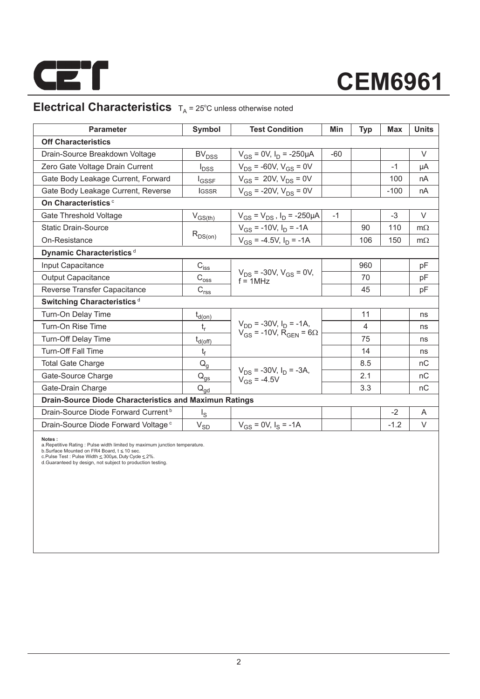

### **Electrical Characteristics**  $T_A = 25^\circ C$  unless otherwise noted

| <b>Parameter</b>                                              | Symbol                                                                | <b>Test Condition</b>                             | Min   | <b>Typ</b>     | Max    | <b>Units</b> |  |  |  |
|---------------------------------------------------------------|-----------------------------------------------------------------------|---------------------------------------------------|-------|----------------|--------|--------------|--|--|--|
| <b>Off Characteristics</b>                                    |                                                                       |                                                   |       |                |        |              |  |  |  |
| Drain-Source Breakdown Voltage                                | <b>BV<sub>DSS</sub></b>                                               | $V_{GS} = 0V$ , $I_D = -250 \mu A$                | $-60$ |                |        | $\vee$       |  |  |  |
| Zero Gate Voltage Drain Current                               | $I_{DSS}$                                                             | $V_{DS}$ = -60V, $V_{GS}$ = 0V                    |       |                | $-1$   | μA           |  |  |  |
| Gate Body Leakage Current, Forward                            | l <sub>GSSF</sub>                                                     | $V_{GS}$ = 20V, $V_{DS}$ = 0V                     |       |                | 100    | nA           |  |  |  |
| Gate Body Leakage Current, Reverse                            | <b>IGSSR</b>                                                          | $V_{GS}$ = -20V, $V_{DS}$ = 0V                    |       |                | $-100$ | nA           |  |  |  |
| On Characteristics <sup>c</sup>                               |                                                                       |                                                   |       |                |        |              |  |  |  |
| Gate Threshold Voltage                                        | $V_{GS(th)}$                                                          | $V_{GS} = V_{DS}$ , $I_D = -250 \mu A$            | $-1$  |                | $-3$   | $\vee$       |  |  |  |
| <b>Static Drain-Source</b>                                    |                                                                       | $V_{GS}$ = -10V, $I_D$ = -1A                      |       | 90             | 110    | $m\Omega$    |  |  |  |
| On-Resistance                                                 | $R_{DS(on)}$                                                          | $V_{GS}$ = -4.5V, $I_D$ = -1A                     |       | 106            | 150    | $m\Omega$    |  |  |  |
| Dynamic Characteristics <sup>d</sup>                          |                                                                       |                                                   |       |                |        |              |  |  |  |
| Input Capacitance                                             | $C_{i \underline{s} \underline{s}}$                                   |                                                   |       | 960            |        | рF           |  |  |  |
| <b>Output Capacitance</b>                                     | $\mathrm{C_{os\underline{s}}}$                                        | $V_{DS}$ = -30V, $V_{GS}$ = 0V,<br>$f = 1MHz$     |       | 70             |        | pF           |  |  |  |
| Reverse Transfer Capacitance                                  | $\mathsf{C}_{\mathsf{r}\underline{\mathsf{s}}\underline{\mathsf{s}}}$ |                                                   |       | 45             |        | pF           |  |  |  |
| Switching Characteristics <sup>d</sup>                        |                                                                       |                                                   |       |                |        |              |  |  |  |
| Turn-On Delay Time                                            | $t_{d(0n)}$                                                           |                                                   |       | 11             |        | ns           |  |  |  |
| Turn-On Rise Time                                             | $t_r$                                                                 | $V_{DD}$ = -30V, $I_D$ = -1A,                     |       | $\overline{4}$ |        | ns           |  |  |  |
| <b>Turn-Off Delay Time</b>                                    | $t_{d(off)}$                                                          | $V_{GS}$ = -10V, R <sub>GFN</sub> = 6 $\Omega$    |       | 75             |        | ns           |  |  |  |
| <b>Turn-Off Fall Time</b>                                     | t                                                                     |                                                   |       | 14             |        | ns           |  |  |  |
| <b>Total Gate Charge</b>                                      | $Q_g$                                                                 |                                                   |       | 8.5            |        | nC           |  |  |  |
| Gate-Source Charge                                            | $Q_{gs}$                                                              | $V_{DS}$ = -30V, $I_D$ = -3A,<br>$V_{GS} = -4.5V$ |       | 2.1            |        | nC           |  |  |  |
| Gate-Drain Charge                                             | $Q_{qd}$                                                              |                                                   |       | 3.3            |        | nC           |  |  |  |
| <b>Drain-Source Diode Characteristics and Maximun Ratings</b> |                                                                       |                                                   |       |                |        |              |  |  |  |
| Drain-Source Diode Forward Current <sup>b</sup>               | $I_{\rm S}$                                                           |                                                   |       |                | $-2$   | A            |  |  |  |
| Drain-Source Diode Forward Voltage <sup>c</sup>               | $\rm V_{SD}$                                                          | $V_{GS} = 0V$ , $I_S = -1A$                       |       |                | $-1.2$ | $\vee$       |  |  |  |

**Notes :**<br>a.Repetitive Rating : Pulse width limited by maximum junction temperature.<br>b.Surface Mounted on FR4 Board, t ≤ 10 sec.<br>c.Pulse Test : Pluse Width ≤ 300µs, Duty Cyde ≤ 2%.<br>d.Guaranteed by design, not subject to p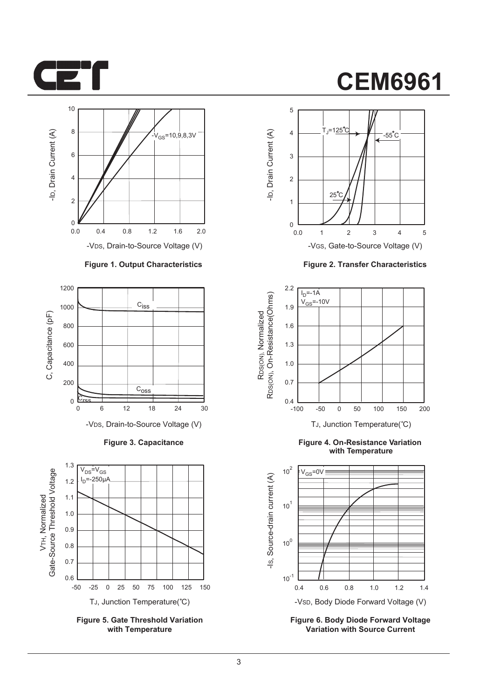



#### **Figure 1. Output Characteristics**



**Figure 3. Capacitance**



**Figure 5. Gate Threshold Variation with Temperature**

### **CEM6961**



**Figure 2. Transfer Characteristics**



**Figure 4. On-Resistance Variation with Temperature**



**Figure 6. Body Diode Forward Voltage Variation with Source Current**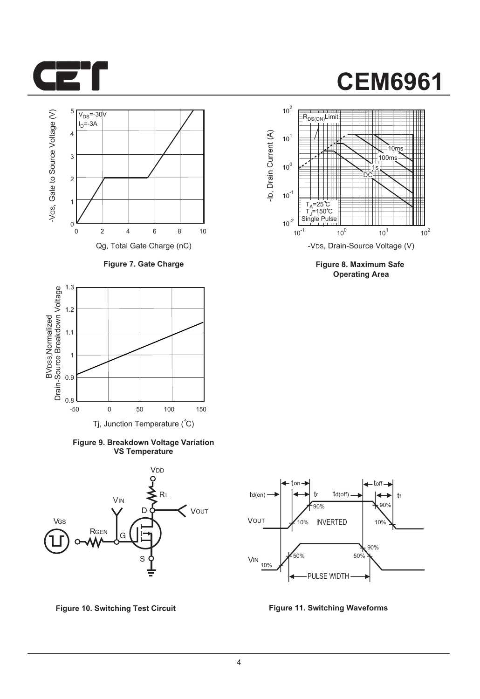



**Figure 7. Gate Charge**



**Figure 9. Breakdown Voltage Variation VS Temperature**





**Figure 8. Maximum Safe Operating Area**



**Figure 10. Switching Test Circuit Figure 11. Switching Waveforms**